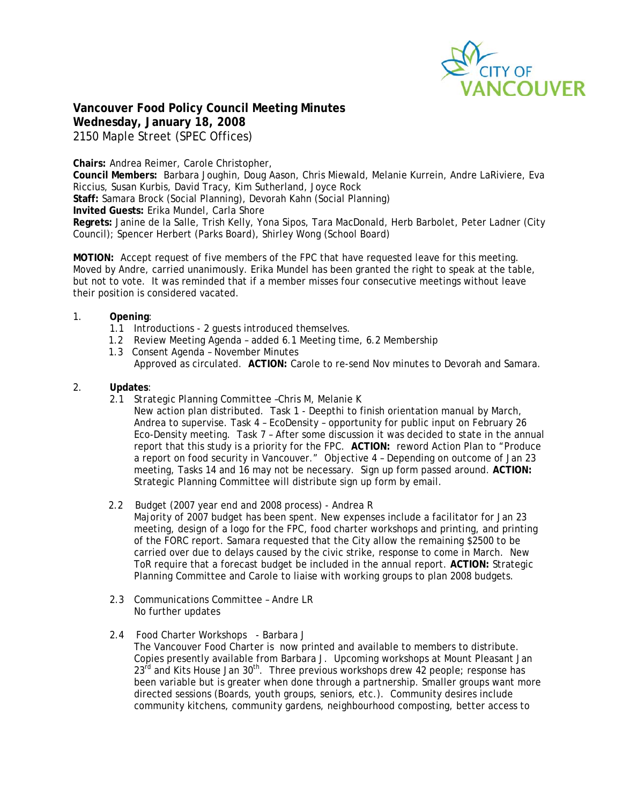

**Vancouver Food Policy Council Meeting Minutes Wednesday, January 18, 2008**  2150 Maple Street (SPEC Offices)

**Chairs:** Andrea Reimer, Carole Christopher,

**Council Members:** Barbara Joughin, Doug Aason, Chris Miewald, Melanie Kurrein, Andre LaRiviere, Eva Riccius, Susan Kurbis, David Tracy, Kim Sutherland, Joyce Rock

**Staff:** Samara Brock (Social Planning), Devorah Kahn (Social Planning)

**Invited Guests:** Erika Mundel, Carla Shore

**Regrets:** Janine de la Salle, Trish Kelly, Yona Sipos, Tara MacDonald, Herb Barbolet, Peter Ladner (City Council); Spencer Herbert (Parks Board), Shirley Wong (School Board)

**MOTION:** Accept request of five members of the FPC that have requested leave for this meeting. Moved by Andre, carried unanimously. Erika Mundel has been granted the right to speak at the table, but not to vote. It was reminded that if a member misses four consecutive meetings without leave their position is considered vacated.

#### 1. **Opening**:

- 1.1 Introductions 2 guests introduced themselves.
- 1.2 Review Meeting Agenda added 6.1 Meeting time, 6.2 Membership
- 1.3 Consent Agenda November Minutes Approved as circulated. **ACTION:** Carole to re-send Nov minutes to Devorah and Samara.

#### 2. **Updates**:

- 2.1 *Strategic Planning Committee –*Chris M, Melanie K
	- New action plan distributed. Task 1 Deepthi to finish orientation manual by March, Andrea to supervise. Task 4 – EcoDensity – opportunity for public input on February 26 Eco-Density meeting. Task 7 – After some discussion it was decided to state in the annual report that this study is a priority for the FPC. **ACTION:** reword Action Plan to "Produce a report on food security in Vancouver." Objective 4 – Depending on outcome of Jan 23 meeting, Tasks 14 and 16 may not be necessary. Sign up form passed around. **ACTION:**  Strategic Planning Committee will distribute sign up form by email.

2.2 Budget (2007 year end and 2008 process) - Andrea R

Majority of 2007 budget has been spent. New expenses include a facilitator for Jan 23 meeting, design of a logo for the FPC, food charter workshops and printing, and printing of the FORC report. Samara requested that the City allow the remaining \$2500 to be carried over due to delays caused by the civic strike, response to come in March. New ToR require that a forecast budget be included in the annual report. **ACTION:** Strategic Planning Committee and Carole to liaise with working groups to plan 2008 budgets.

- 2.3 Communications Committee Andre LR No further updates
- 2.4 Food Charter Workshops Barbara J The Vancouver Food Charter is now printed and available to members to distribute. Copies presently available from Barbara J. Upcoming workshops at Mount Pleasant Jan 23<sup>rd</sup> and Kits House Jan 30<sup>th</sup>. Three previous workshops drew 42 people; response has been variable but is greater when done through a partnership. Smaller groups want more directed sessions (Boards, youth groups, seniors, etc.). Community desires include community kitchens, community gardens, neighbourhood composting, better access to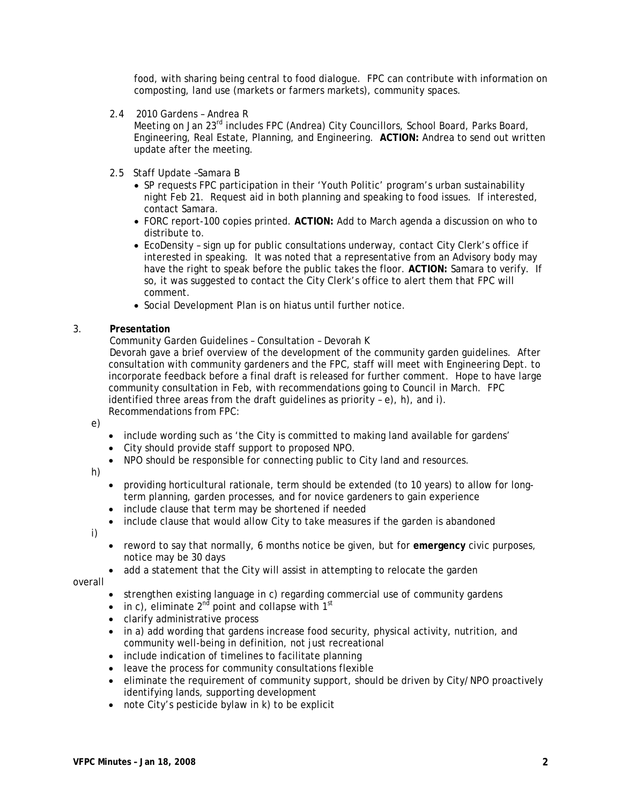food, with sharing being central to food dialogue. FPC can contribute with information on composting, land use (markets or farmers markets), community spaces.

2.4 2010 Gardens – Andrea R

Meeting on Jan 23<sup>rd</sup> includes FPC (Andrea) City Councillors, School Board, Parks Board, Engineering, Real Estate, Planning, and Engineering. **ACTION:** Andrea to send out written update after the meeting.

- 2.5 Staff Update –Samara B
	- SP requests FPC participation in their 'Youth Politic' program's urban sustainability night Feb 21. Request aid in both planning and speaking to food issues. If interested, contact Samara.
	- FORC report-100 copies printed. **ACTION:** Add to March agenda a discussion on who to distribute to.
	- EcoDensity sign up for public consultations underway, contact City Clerk's office if interested in speaking. It was noted that a representative from an Advisory body may have the right to speak before the public takes the floor. **ACTION:** Samara to verify. If so, it was suggested to contact the City Clerk's office to alert them that FPC will comment.
	- Social Development Plan is on hiatus until further notice.

#### 3. **Presentation**

Community Garden Guidelines – Consultation – Devorah K

 Devorah gave a brief overview of the development of the community garden guidelines. After consultation with community gardeners and the FPC, staff will meet with Engineering Dept. to incorporate feedback before a final draft is released for further comment. Hope to have large community consultation in Feb, with recommendations going to Council in March. FPC identified three areas from the draft guidelines as priority – e), h), and i). Recommendations from FPC:

e)

- include wording such as 'the City is committed to making land available for gardens'
- City should provide staff support to proposed NPO.
- NPO should be responsible for connecting public to City land and resources.

h)

- providing horticultural rationale, term should be extended (to 10 years) to allow for longterm planning, garden processes, and for novice gardeners to gain experience
- include clause that term may be shortened if needed
- include clause that would allow City to take measures if the garden is abandoned

i)

- reword to say that normally, 6 months notice be given, but for **emergency** civic purposes, notice may be 30 days
- add a statement that the City will assist in attempting to relocate the garden

overall

- strengthen existing language in c) regarding commercial use of community gardens
- in c), eliminate  $2^{nd}$  point and collapse with  $1^{st}$
- clarify administrative process
- in a) add wording that gardens increase food security, physical activity, nutrition, and community well-being in definition, not just recreational
- include indication of timelines to facilitate planning
- leave the process for community consultations flexible
- eliminate the requirement of community support, should be driven by City/NPO proactively identifying lands, supporting development
- note City's pesticide bylaw in k) to be explicit